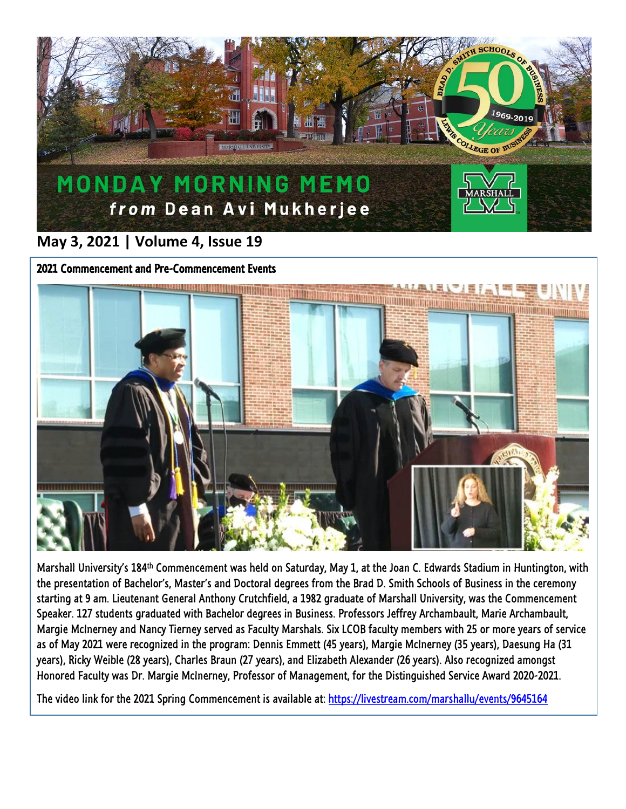

## **May 3, 2021 | Volume 4, Issue 19**



Marshall University's 184th Commencement was held on Saturday, May 1, at the Joan C. Edwards Stadium in Huntington, with the presentation of Bachelor's, Master's and Doctoral degrees from the Brad D. Smith Schools of Business in the ceremony starting at 9 am. Lieutenant General Anthony Crutchfield, a 1982 graduate of Marshall University, was the Commencement Speaker. 127 students graduated with Bachelor degrees in Business. Professors Jeffrey Archambault, Marie Archambault, Margie McInerney and Nancy Tierney served as Faculty Marshals. Six LCOB faculty members with 25 or more years of service as of May 2021 were recognized in the program: Dennis Emmett (45 years), Margie McInerney (35 years), Daesung Ha (31 years), Ricky Weible (28 years), Charles Braun (27 years), and Elizabeth Alexander (26 years). Also recognized amongst Honored Faculty was Dr. Margie McInerney, Professor of Management, for the Distinguished Service Award 2020-2021.

The video link for the 2021 Spring Commencement is available at:<https://livestream.com/marshallu/events/9645164>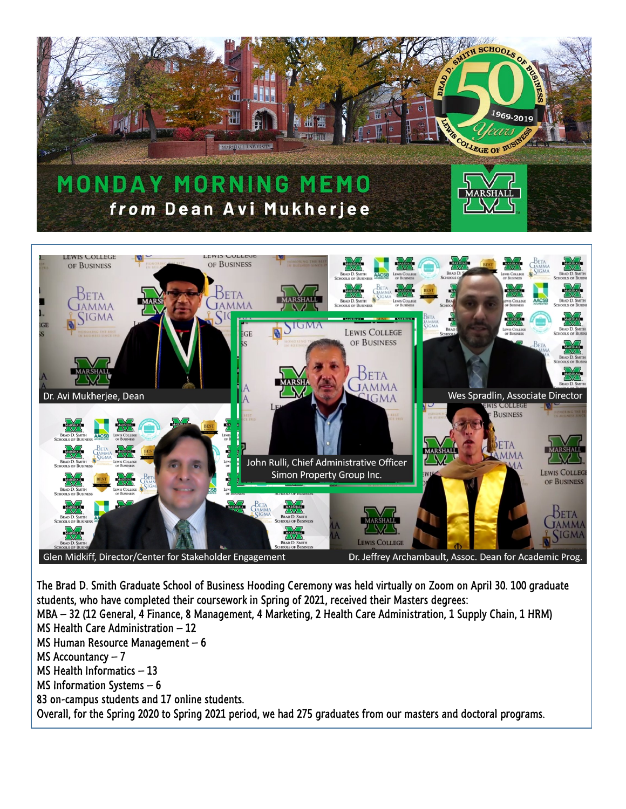

Glen Midkiff, Director/Center for Stakeholder Engagement

Dr. Jeffrey Archambault, Assoc. Dean for Academic Prog.

The Brad D. Smith Graduate School of Business Hooding Ceremony was held virtually on Zoom on April 30. 100 graduate students, who have completed their coursework in Spring of 2021, received their Masters degrees: MBA – 32 (12 General, 4 Finance, 8 Management, 4 Marketing, 2 Health Care Administration, 1 Supply Chain, 1 HRM) MS Health Care Administration – 12 MS Human Resource Management – 6 MS Accountancy  $-7$ MS Health Informatics – 13 MS Information Systems – 6 83 on-campus students and 17 online students. Overall, for the Spring 2020 to Spring 2021 period, we had 275 graduates from our masters and doctoral programs.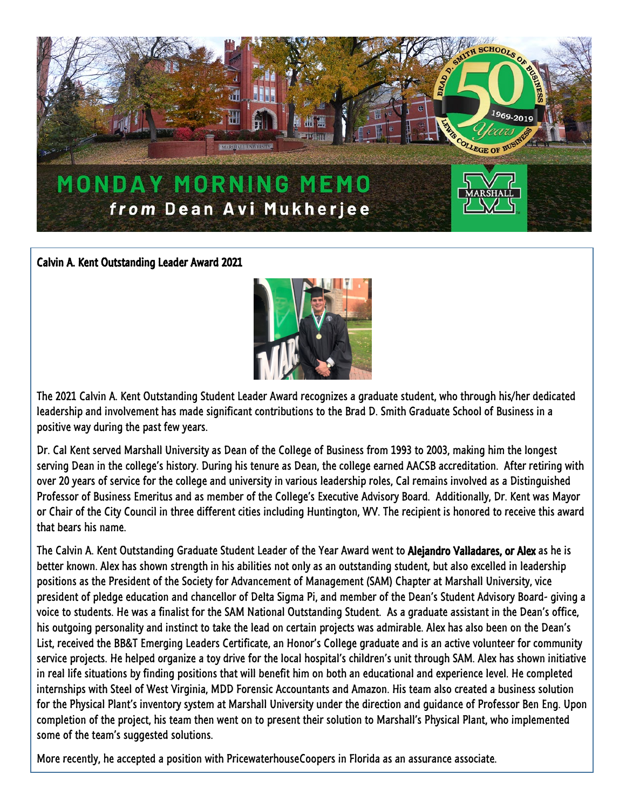

Calvin A. Kent Outstanding Leader Award 2021



The 2021 Calvin A. Kent Outstanding Student Leader Award recognizes a graduate student, who through his/her dedicated leadership and involvement has made significant contributions to the Brad D. Smith Graduate School of Business in a positive way during the past few years.

Dr. Cal Kent served Marshall University as Dean of the College of Business from 1993 to 2003, making him the longest serving Dean in the college's history. During his tenure as Dean, the college earned AACSB accreditation. After retiring with over 20 years of service for the college and university in various leadership roles, Cal remains involved as a Distinguished Professor of Business Emeritus and as member of the College's Executive Advisory Board. Additionally, Dr. Kent was Mayor or Chair of the City Council in three different cities including Huntington, WV. The recipient is honored to receive this award that bears his name.

The Calvin A. Kent Outstanding Graduate Student Leader of the Year Award went to Alejandro Valladares, or Alex as he is better known. Alex has shown strength in his abilities not only as an outstanding student, but also excelled in leadership positions as the President of the Society for Advancement of Management (SAM) Chapter at Marshall University, vice president of pledge education and chancellor of Delta Sigma Pi, and member of the Dean's Student Advisory Board- giving a voice to students. He was a finalist for the SAM National Outstanding Student. As a graduate assistant in the Dean's office, his outgoing personality and instinct to take the lead on certain projects was admirable. Alex has also been on the Dean's List, received the BB&T Emerging Leaders Certificate, an Honor's College graduate and is an active volunteer for community service projects. He helped organize a toy drive for the local hospital's children's unit through SAM. Alex has shown initiative in real life situations by finding positions that will benefit him on both an educational and experience level. He completed internships with Steel of West Virginia, MDD Forensic Accountants and Amazon. His team also created a business solution for the Physical Plant's inventory system at Marshall University under the direction and guidance of Professor Ben Eng. Upon completion of the project, his team then went on to present their solution to Marshall's Physical Plant, who implemented some of the team's suggested solutions.

More recently, he accepted a position with PricewaterhouseCoopers in Florida as an assurance associate.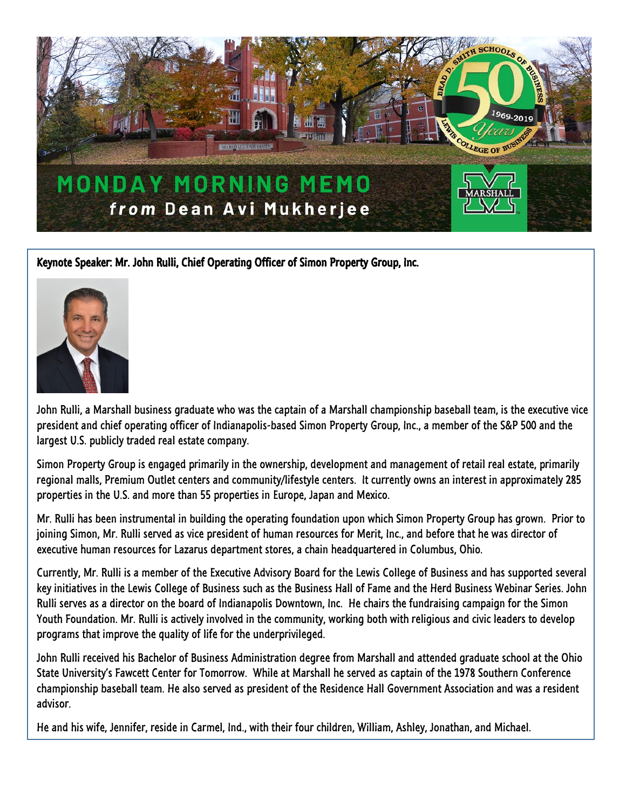

Keynote Speaker: Mr. John Rulli, Chief Operating Officer of Simon Property Group, Inc.



John Rulli, a Marshall business graduate who was the captain of a Marshall championship baseball team, is the executive vice president and chief operating officer of Indianapolis-based Simon Property Group, Inc., a member of the S&P 500 and the largest U.S. publicly traded real estate company.

Simon Property Group is engaged primarily in the ownership, development and management of retail real estate, primarily regional malls, Premium Outlet centers and community/lifestyle centers. It currently owns an interest in approximately 285 properties in the U.S. and more than 55 properties in Europe, Japan and Mexico.

Mr. Rulli has been instrumental in building the operating foundation upon which Simon Property Group has grown. Prior to joining Simon, Mr. Rulli served as vice president of human resources for Merit, Inc., and before that he was director of executive human resources for Lazarus department stores, a chain headquartered in Columbus, Ohio.

Currently, Mr. Rulli is a member of the Executive Advisory Board for the Lewis College of Business and has supported several key initiatives in the Lewis College of Business such as the Business Hall of Fame and the Herd Business Webinar Series. John Rulli serves as a director on the board of Indianapolis Downtown, Inc. He chairs the fundraising campaign for the Simon Youth Foundation. Mr. Rulli is actively involved in the community, working both with religious and civic leaders to develop programs that improve the quality of life for the underprivileged.

John Rulli received his Bachelor of Business Administration degree from Marshall and attended graduate school at the Ohio State University's Fawcett Center for Tomorrow. While at Marshall he served as captain of the 1978 Southern Conference championship baseball team. He also served as president of the Residence Hall Government Association and was a resident advisor.

He and his wife, Jennifer, reside in Carmel, Ind., with their four children, William, Ashley, Jonathan, and Michael.